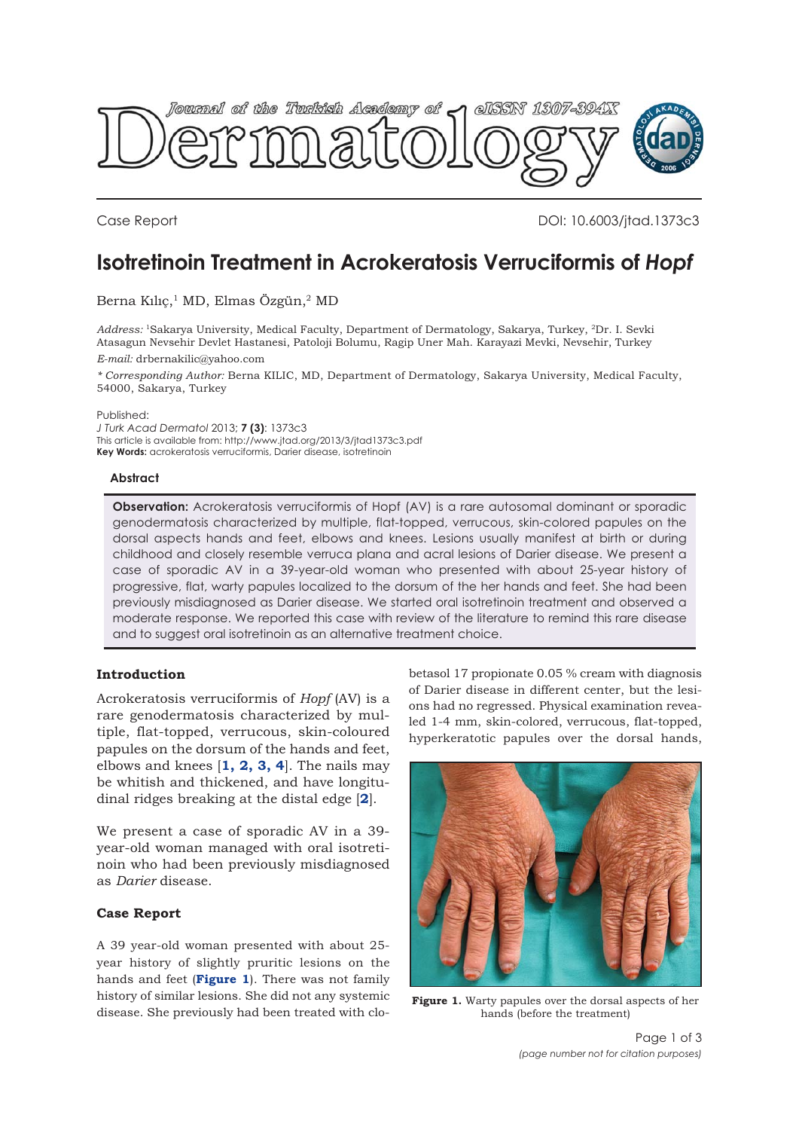

Case Report DOI: 10.6003/jtad.1373c3

# **Isotretinoin Treatment in Acrokeratosis Verruciformis of** *Hopf*

Berna Kılıç,<sup>1</sup> MD, Elmas Özgün,<sup>2</sup> MD

*Address:* 1Sakarya University, Medical Faculty, Department of Dermatology, Sakarya, Turkey, 2Dr. I. Sevki Atasagun Nevsehir Devlet Hastanesi, Patoloji Bolumu, Ragip Uner Mah. Karayazi Mevki, Nevsehir, Turkey *E-mail:* drbernakilic@yahoo.com

*\* Corresponding Author:* Berna KILIC, MD, Department of Dermatology, Sakarya University, Medical Faculty, 54000, Sakarya, Turkey

Published:

*J Turk Acad Dermatol* 2013; **7 (3)**: 1373c3 This article is available from: http://www.jtad.org/2013/3/jtad1373c3.pdf **Key Words:** acrokeratosis verruciformis, Darier disease, isotretinoin

#### **Abstract**

**Observation:** Acrokeratosis verruciformis of Hopf (AV) is a rare autosomal dominant or sporadic genodermatosis characterized by multiple, flat-topped, verrucous, skin-colored papules on the dorsal aspects hands and feet, elbows and knees. Lesions usually manifest at birth or during childhood and closely resemble verruca plana and acral lesions of Darier disease. We present a case of sporadic AV in a 39-year-old woman who presented with about 25-year history of progressive, flat, warty papules localized to the dorsum of the her hands and feet. She had been previously misdiagnosed as Darier disease. We started oral isotretinoin treatment and observed a moderate response. We reported this case with review of the literature to remind this rare disease and to suggest oral isotretinoin as an alternative treatment choice.

## **Introduction**

Acrokeratosis verruciformis of *Hopf* (AV) is a rare genodermatosis characterized by multiple, flat-topped, verrucous, skin-coloured papules on the dorsum of the hands and feet, elbows and knees [**1, 2, 3, 4**]. The nails may be whitish and thickened, and have longitudinal ridges breaking at the distal edge [**2**].

We present a case of sporadic AV in a 39 year-old woman managed with oral isotretinoin who had been previously misdiagnosed as *Darier* disease.

## **Case Report**

A 39 year-old woman presented with about 25 year history of slightly pruritic lesions on the hands and feet (**Figure 1**). There was not family history of similar lesions. She did not any systemic disease. She previously had been treated with clobetasol 17 propionate 0.05 % cream with diagnosis of Darier disease in different center, but the lesions had no regressed. Physical examination revealed 1-4 mm, skin-colored, verrucous, flat-topped, hyperkeratotic papules over the dorsal hands,



**Figure 1.** Warty papules over the dorsal aspects of her hands (before the treatment)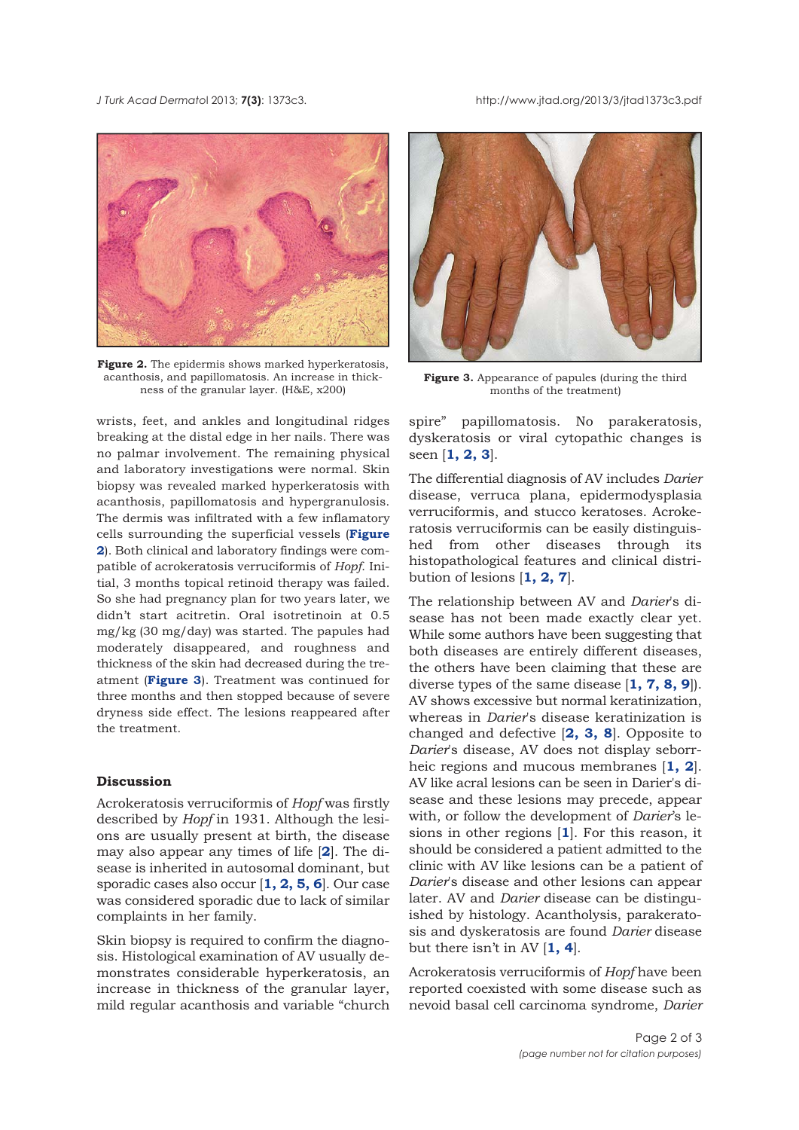*J Turk Acad Dermato*l 2013; **7(3)**: 1373c3. http://www.jtad.org/2013/3/jtad1373c3.pdf



Figure 2. The epidermis shows marked hyperkeratosis, acanthosis, and papillomatosis. An increase in thickness of the granular layer. (H&E, x200)

wrists, feet, and ankles and longitudinal ridges breaking at the distal edge in her nails. There was no palmar involvement. The remaining physical and laboratory investigations were normal. Skin biopsy was revealed marked hyperkeratosis with acanthosis, papillomatosis and hypergranulosis. The dermis was infiltrated with a few inflamatory cells surrounding the superficial vessels (**Figure 2**). Both clinical and laboratory findings were compatible of acrokeratosis verruciformis of *Hopf*. Initial, 3 months topical retinoid therapy was failed. So she had pregnancy plan for two years later, we didn't start acitretin. Oral isotretinoin at 0.5 mg/kg (30 mg/day) was started. The papules had moderately disappeared, and roughness and thickness of the skin had decreased during the treatment (**Figure 3**). Treatment was continued for three months and then stopped because of severe dryness side effect. The lesions reappeared after the treatment.

#### **Discussion**

Acrokeratosis verruciformis of *Hopf* was firstly described by *Hopf* in 1931. Although the lesions are usually present at birth, the disease may also appear any times of life [**2**]. The disease is inherited in autosomal dominant, but sporadic cases also occur [**1, 2, 5, 6**]. Our case was considered sporadic due to lack of similar complaints in her family.

Skin biopsy is required to confirm the diagnosis. Histological examination of AV usually demonstrates considerable hyperkeratosis, an increase in thickness of the granular layer, mild regular acanthosis and variable "church



**Figure 3.** Appearance of papules (during the third months of the treatment)

spire" papillomatosis. No parakeratosis, dyskeratosis or viral cytopathic changes is seen [**1, 2, 3**].

The differential diagnosis of AV includes *Darier* disease, verruca plana, epidermodysplasia verruciformis, and stucco keratoses. Acrokeratosis verruciformis can be easily distinguished from other diseases through its histopathological features and clinical distribution of lesions [**1, 2, 7**].

The relationship between AV and *Darier*'s disease has not been made exactly clear yet. While some authors have been suggesting that both diseases are entirely different diseases, the others have been claiming that these are diverse types of the same disease [**1, 7, 8, 9**]). AV shows excessive but normal keratinization, whereas in *Darier*'s disease keratinization is changed and defective [**2, 3, 8**]. Opposite to *Darier*'s disease, AV does not display seborrheic regions and mucous membranes [**1, 2**]. AV like acral lesions can be seen in Darier's disease and these lesions may precede, appear with, or follow the development of *Darier*'s lesions in other regions [**1**]. For this reason, it should be considered a patient admitted to the clinic with AV like lesions can be a patient of *Darier*'s disease and other lesions can appear later. AV and *Darier* disease can be distinguished by histology. Acantholysis, parakeratosis and dyskeratosis are found *Darier* disease but there isn't in AV [**1, 4**].

Acrokeratosis verruciformis of *Hopf* have been reported coexisted with some disease such as nevoid basal cell carcinoma syndrome, *Darier*